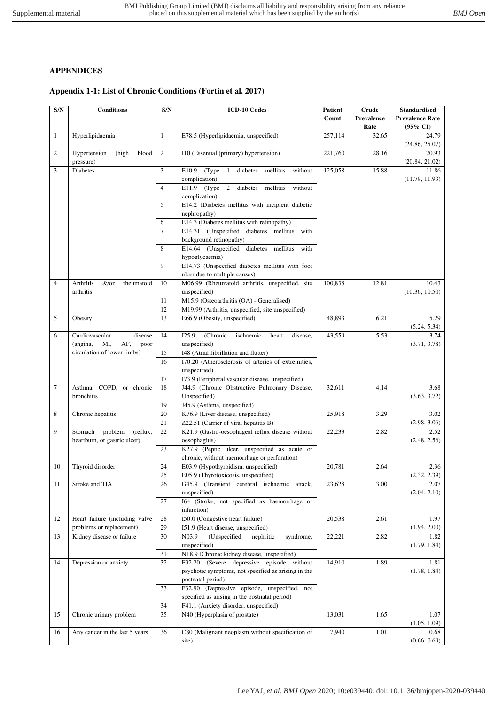## **APPENDICES**

## **Appendix 1-1: List of Chronic Conditions (Fortin et al. 2017)**

| $\mathbf{S/N}$ | <b>Conditions</b>                            | S/N            | <b>ICD-10 Codes</b>                                                  | Patient<br><b>Crude</b> |                    | <b>Standardised</b>                           |  |
|----------------|----------------------------------------------|----------------|----------------------------------------------------------------------|-------------------------|--------------------|-----------------------------------------------|--|
|                |                                              |                |                                                                      | Count                   | Prevalence<br>Rate | <b>Prevalence Rate</b><br>$(95\% \text{ CI})$ |  |
| 1              | Hyperlipidaemia                              | 1              | E78.5 (Hyperlipidaemia, unspecified)<br>257,114                      |                         | 32.65              | 24.79                                         |  |
|                |                                              |                |                                                                      |                         |                    | (24.86, 25.07)                                |  |
| 2              | Hypertension<br>(high<br>blood               | $\mathbf{2}$   | I10 (Essential (primary) hypertension)                               | 221,760                 | 28.16              | 20.93                                         |  |
|                | pressure)                                    |                |                                                                      |                         |                    | (20.84, 21.02)                                |  |
| 3              | <b>Diabetes</b>                              | 3              | (Type)<br>mellitus<br>without<br>E10.9<br>$\overline{1}$<br>diabetes | 125,058                 | 15.88              | 11.86                                         |  |
|                |                                              |                | complication)                                                        |                         |                    | (11.79, 11.93)                                |  |
|                |                                              | $\overline{4}$ | E11.9 $(Type 2)$<br>diabetes<br>without<br>mellitus<br>complication) |                         |                    |                                               |  |
|                |                                              | 5              | E14.2 (Diabetes mellitus with incipient diabetic                     |                         |                    |                                               |  |
|                |                                              |                | nephropathy)                                                         |                         |                    |                                               |  |
|                |                                              | 6              | E14.3 (Diabetes mellitus with retinopathy)                           |                         |                    |                                               |  |
|                |                                              |                | E14.31 (Unspecified diabetes mellitus<br>with                        |                         |                    |                                               |  |
|                |                                              |                | background retinopathy)                                              |                         |                    |                                               |  |
|                |                                              | 8              | E14.64 (Unspecified diabetes mellitus<br>with                        |                         |                    |                                               |  |
|                |                                              |                | hypoglycaemia)                                                       |                         |                    |                                               |  |
|                |                                              | 9              | E14.73 (Unspecified diabetes mellitus with foot                      |                         |                    |                                               |  |
|                |                                              |                | ulcer due to multiple causes)                                        |                         |                    |                                               |  |
| $\overline{4}$ | Arthritis<br>&/or<br>rheumatoid<br>arthritis | 10             | M06.99 (Rheumatoid arthritis, unspecified, site<br>unspecified)      | 100,838                 | 12.81              | 10.43<br>(10.36, 10.50)                       |  |
|                |                                              | 11             | M15.9 (Osteoarthritis (OA) - Generalised)                            |                         |                    |                                               |  |
|                |                                              | 12             | M19.99 (Arthritis, unspecified, site unspecified)                    |                         |                    |                                               |  |
| 5              | Obesity                                      | 13             | E66.9 (Obesity, unspecified)                                         | 48,893                  | 6.21               | 5.29                                          |  |
|                |                                              |                |                                                                      |                         |                    | (5.24, 5.34)                                  |  |
| 6              | Cardiovascular<br>disease                    | 14             | I25.9<br>(Chronic<br>ischaemic<br>heart<br>disease,                  | 43,559                  | 5.53               | 3.74                                          |  |
|                | AF,<br>(angina,<br>MI,<br>poor               |                | unspecified)                                                         |                         |                    | (3.71, 3.78)                                  |  |
|                | circulation of lower limbs)                  | 15             | I48 (Atrial fibrillation and flutter)                                |                         |                    |                                               |  |
|                |                                              | 16             | I70.20 (Atherosclerosis of arteries of extremities,                  |                         |                    |                                               |  |
|                |                                              |                | unspecified)                                                         |                         |                    |                                               |  |
|                |                                              | 17             | I73.9 (Peripheral vascular disease, unspecified)                     |                         | 4.14               |                                               |  |
| 7              | Asthma, COPD, or chronic<br>bronchitis       | 18             | J44.9 (Chronic Obstructive Pulmonary Disease,<br>Unspecified)        | 32,611                  |                    | 3.68<br>(3.63, 3.72)                          |  |
|                |                                              | 19             | J45.9 (Asthma, unspecified)                                          |                         |                    |                                               |  |
| 8              | Chronic hepatitis                            | 20             | K76.9 (Liver disease, unspecified)                                   | 25,918                  | 3.29               | 3.02                                          |  |
|                |                                              | 21             | Z22.51 (Carrier of viral hepatitis B)                                |                         |                    | (2.98, 3.06)                                  |  |
| 9              | Stomach<br>problem<br>(reflux,               | 22             | K21.9 (Gastro-oesophageal reflux disease without                     | 22,233                  | 2.82               | 2.52                                          |  |
|                | heartburn, or gastric ulcer)                 |                | oesophagitis)                                                        |                         |                    | (2.48, 2.56)                                  |  |
|                |                                              | 23             | K27.9 (Peptic ulcer, unspecified as acute or                         |                         |                    |                                               |  |
|                |                                              |                | chronic, without haemorrhage or perforation)                         |                         |                    |                                               |  |
| 10             | Thyroid disorder                             | 24             | E03.9 (Hypothyroidism, unspecified)                                  | 20,781                  | 2.64               | 2.36                                          |  |
|                |                                              | 25             | E05.9 (Thyrotoxicosis, unspecified)                                  |                         |                    | (2.32, 2.39)                                  |  |
| 11             | Stroke and TIA                               | 26             | G45.9 (Transient cerebral ischaemic attack,<br>unspecified)          | 23,628                  | 3.00               | 2.07<br>(2.04, 2.10)                          |  |
|                |                                              | 27             | I64 (Stroke, not specified as haemorrhage or                         |                         |                    |                                               |  |
|                |                                              |                | infarction)                                                          |                         |                    |                                               |  |
| 12             | Heart failure (including valve               | 28             | I50.0 (Congestive heart failure)                                     | 20,538                  | 2.61               | 1.97                                          |  |
|                | problems or replacement)                     | 29             | 151.9 (Heart disease, unspecified)                                   |                         |                    | (1.94, 2.00)                                  |  |
| 13             | Kidney disease or failure                    | 30             | (Unspecified<br>N <sub>0</sub> 3.9<br>nephritic<br>syndrome,         | 22,221                  | 2.82               | 1.82                                          |  |
|                |                                              |                | unspecified)                                                         |                         |                    | (1.79, 1.84)                                  |  |
|                |                                              | 31             | N18.9 (Chronic kidney disease, unspecified)                          |                         |                    |                                               |  |
| 14             | Depression or anxiety                        | 32             | F32.20 (Severe depressive episode without                            | 14,910                  | 1.89               | 1.81                                          |  |
|                |                                              |                | psychotic symptoms, not specified as arising in the                  |                         |                    | (1.78, 1.84)                                  |  |
|                |                                              | 33             | postnatal period)<br>F32.90 (Depressive episode, unspecified, not    |                         |                    |                                               |  |
|                |                                              |                | specified as arising in the postnatal period)                        |                         |                    |                                               |  |
|                |                                              | 34             | F41.1 (Anxiety disorder, unspecified)                                |                         |                    |                                               |  |
| 15             | Chronic urinary problem                      | 35             | N40 (Hyperplasia of prostate)                                        | 13,031                  | 1.65               | 1.07                                          |  |
|                |                                              |                |                                                                      |                         |                    | (1.05, 1.09)                                  |  |
| 16             | Any cancer in the last 5 years               | 36             | C80 (Malignant neoplasm without specification of                     | 7,940                   | 1.01               | 0.68                                          |  |
|                |                                              |                | site)                                                                |                         |                    | (0.66, 0.69)                                  |  |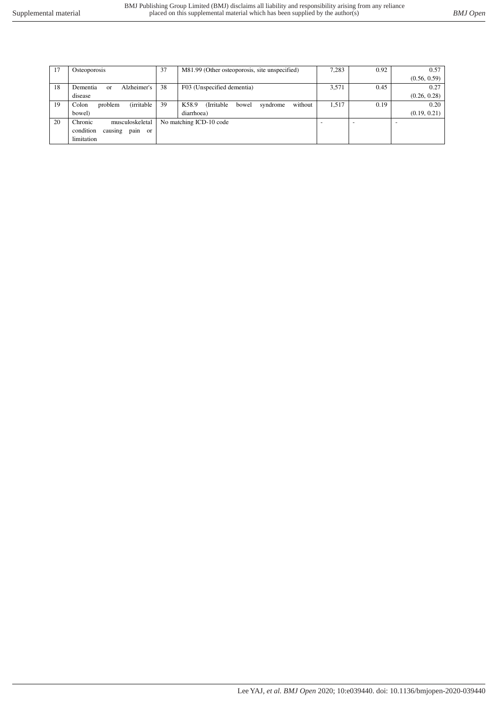| 17 | Osteoporosis                           | 37 | M81.99 (Other osteoporosis, site unspecified)                    | 7,283                    | 0.92 | 0.57         |
|----|----------------------------------------|----|------------------------------------------------------------------|--------------------------|------|--------------|
|    |                                        |    |                                                                  |                          |      | (0.56, 0.59) |
|    |                                        |    |                                                                  |                          |      |              |
| 18 | Alzheimer's<br>Dementia<br>$\alpha$    | 38 | F03 (Unspecified dementia)                                       | 3,571                    | 0.45 | 0.27         |
|    | disease                                |    |                                                                  |                          |      | (0.26, 0.28) |
| 19 | <i>(irritable)</i><br>Colon<br>problem | 39 | K58.9<br><i><b>Irritable</b></i><br>without<br>syndrome<br>bowel | 1,517                    | 0.19 | 0.20         |
|    | bowel)                                 |    | diarrhoea)                                                       |                          |      | (0.19, 0.21) |
| 20 | Chronic<br>musculoskeletal             |    | No matching ICD-10 code                                          | $\overline{\phantom{0}}$ |      |              |
|    | causing<br>pain or<br>condition        |    |                                                                  |                          |      |              |
|    | limitation                             |    |                                                                  |                          |      |              |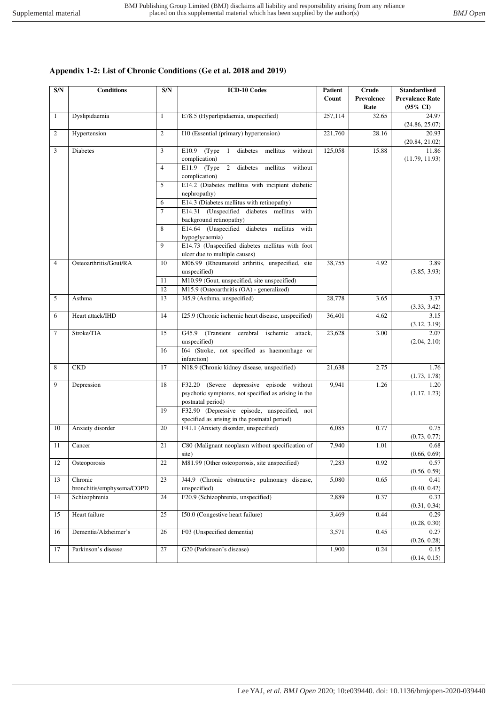## **Appendix 1-2: List of Chronic Conditions (Ge et al. 2018 and 2019)**

| S/N            | <b>Conditions</b>         | S/N            | <b>ICD-10 Codes</b>                                                                           | Patient<br>Crude |            | <b>Standardised</b>     |
|----------------|---------------------------|----------------|-----------------------------------------------------------------------------------------------|------------------|------------|-------------------------|
|                |                           |                |                                                                                               | Count            | Prevalence | <b>Prevalence Rate</b>  |
|                |                           |                |                                                                                               |                  | Rate       | $(95\% \text{ CI})$     |
| $\mathbf{1}$   | Dyslipidaemia             | $\mathbf{1}$   | E78.5 (Hyperlipidaemia, unspecified)                                                          | 257,114          | 32.65      | 24.97<br>(24.86, 25.07) |
| 2              | Hypertension              | $\overline{c}$ | I10 (Essential (primary) hypertension)                                                        | 221,760          | 28.16      | 20.93<br>(20.84, 21.02) |
| 3              | <b>Diabetes</b>           | 3              | (Type<br>diabetes<br>E10.9<br>$\overline{1}$<br>mellitus<br>without<br>complication)          | 125,058          | 15.88      | 11.86<br>(11.79, 11.93) |
|                |                           | $\overline{4}$ | E11.9 (Type 2 diabetes mellitus<br>without<br>complication)                                   |                  |            |                         |
|                |                           | 5              | E14.2 (Diabetes mellitus with incipient diabetic<br>nephropathy)                              |                  |            |                         |
|                |                           | 6              | E14.3 (Diabetes mellitus with retinopathy)                                                    |                  |            |                         |
|                |                           | $\overline{7}$ | E14.31 (Unspecified diabetes mellitus<br>with                                                 |                  |            |                         |
|                |                           |                | background retinopathy)                                                                       |                  |            |                         |
|                |                           | 8              | E14.64 (Unspecified diabetes mellitus<br>with<br>hypoglycaemia)                               |                  |            |                         |
|                |                           | 9              | E14.73 (Unspecified diabetes mellitus with foot                                               |                  |            |                         |
|                |                           |                | ulcer due to multiple causes)                                                                 |                  |            |                         |
| $\overline{4}$ | Osteoarthritis/Gout/RA    | 10             | M06.99 (Rheumatoid arthritis, unspecified, site                                               | 38,755           | 4.92       | 3.89                    |
|                |                           |                | unspecified)                                                                                  |                  |            | (3.85, 3.93)            |
|                |                           | 11             | M10.99 (Gout, unspecified, site unspecified)                                                  |                  |            |                         |
|                |                           | 12             | M15.9 (Osteoarthritis (OA) - generalized)                                                     |                  |            |                         |
| 5              | Asthma                    | 13             | J45.9 (Asthma, unspecified)                                                                   | 28,778<br>3.65   |            | 3.37<br>(3.33, 3.42)    |
| 6              | Heart attack/IHD          | 14             | I25.9 (Chronic ischemic heart disease, unspecified)                                           | 36,401<br>4.62   |            | 3.15<br>(3.12, 3.19)    |
| $\tau$         | Stroke/TIA                | 15             | G45.9 (Transient cerebral ischemic<br>attack,<br>unspecified)                                 | 23,628<br>3.00   |            | 2.07<br>(2.04, 2.10)    |
|                |                           | 16             | I64 (Stroke, not specified as haemorrhage or<br>infarction)                                   |                  |            |                         |
| 8              | <b>CKD</b>                | 17             | N18.9 (Chronic kidney disease, unspecified)                                                   | 21,638           | 2.75       | 1.76                    |
|                |                           |                |                                                                                               |                  |            | (1.73, 1.78)            |
| 9              | Depression                | 18             | F32.20 (Severe depressive episode without                                                     | 9,941            | 1.26       | 1.20                    |
|                |                           |                | psychotic symptoms, not specified as arising in the<br>postnatal period)                      |                  |            | (1.17, 1.23)            |
|                |                           | 19             | F32.90 (Depressive episode, unspecified, not<br>specified as arising in the postnatal period) |                  |            |                         |
| 10             | Anxiety disorder          | 20             | F41.1 (Anxiety disorder, unspecified)                                                         | 6,085            | 0.77       | 0.75                    |
|                |                           |                |                                                                                               |                  |            | (0.73, 0.77)            |
| 11             | Cancer                    | 21             | C80 (Malignant neoplasm without specification of                                              | 7,940            | 1.01       | 0.68                    |
|                |                           |                | site)                                                                                         |                  |            | (0.66, 0.69)            |
| 12             | Osteoporosis              | 22             | M81.99 (Other osteoporosis, site unspecified)                                                 | 7,283            | 0.92       | 0.57<br>(0.56, 0.59)    |
| 13             | Chronic                   | 23             | J44.9 (Chronic obstructive pulmonary disease,                                                 | 5,080            | 0.65       | 0.41                    |
|                | bronchitis/emphysema/COPD |                | unspecified)                                                                                  |                  |            | (0.40, 0.42)            |
| 14             | Schizophrenia             | 24             | F20.9 (Schizophrenia, unspecified)                                                            | 2,889            | 0.37       | 0.33<br>(0.31, 0.34)    |
| 15             | Heart failure             | 25             | I50.0 (Congestive heart failure)                                                              | 3,469            | 0.44       | 0.29<br>(0.28, 0.30)    |
| 16             | Dementia/Alzheimer's      | 26             | F03 (Unspecified dementia)                                                                    | 3,571            | 0.45       | 0.27                    |
|                |                           |                |                                                                                               |                  |            | (0.26, 0.28)            |
| 17             | Parkinson's disease       | 27             | G20 (Parkinson's disease)                                                                     | 1,900            | 0.24       | 0.15<br>(0.14, 0.15)    |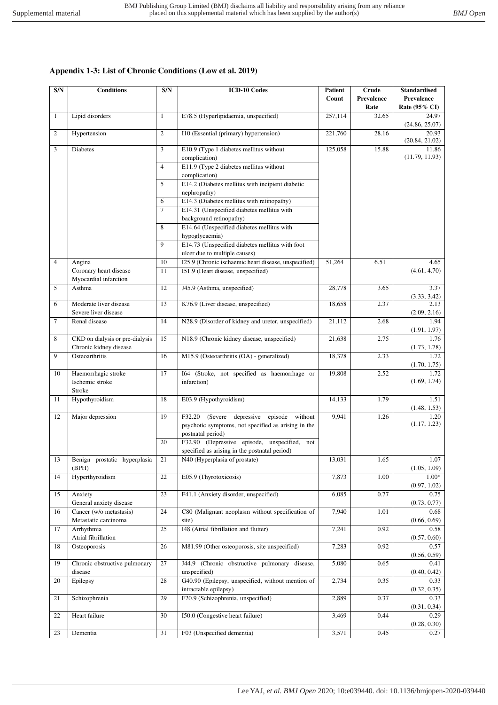# **Appendix 1-3: List of Chronic Conditions (Low et al. 2019)**

| S/N    | <b>Conditions</b>                                         | S/N                 | <b>ICD-10 Codes</b>                                                                                                         | Patient<br>Count | Crude<br>Prevalence | <b>Standardised</b><br>Prevalence |
|--------|-----------------------------------------------------------|---------------------|-----------------------------------------------------------------------------------------------------------------------------|------------------|---------------------|-----------------------------------|
| 1      | Lipid disorders                                           | 1                   | E78.5 (Hyperlipidaemia, unspecified)                                                                                        | 257,114          | Rate<br>32.65       | Rate (95% CI)<br>24.97            |
|        |                                                           |                     |                                                                                                                             |                  |                     | (24.86, 25.07)                    |
| 2      | Hypertension                                              | $\overline{c}$      | I10 (Essential (primary) hypertension)                                                                                      | 221,760          | 28.16               | 20.93<br>(20.84, 21.02)           |
| 3      | Diabetes                                                  | 3                   | E10.9 (Type 1 diabetes mellitus without<br>complication)                                                                    | 125,058          | 15.88               | 11.86<br>(11.79, 11.93)           |
|        |                                                           | 4                   | E11.9 (Type 2 diabetes mellitus without                                                                                     |                  |                     |                                   |
|        |                                                           | 5                   | complication)<br>E14.2 (Diabetes mellitus with incipient diabetic                                                           |                  |                     |                                   |
|        |                                                           |                     | nephropathy)                                                                                                                |                  |                     |                                   |
|        |                                                           | 6<br>$\overline{7}$ | E14.3 (Diabetes mellitus with retinopathy)<br>E14.31 (Unspecified diabetes mellitus with                                    |                  |                     |                                   |
|        |                                                           |                     | background retinopathy)                                                                                                     |                  |                     |                                   |
|        |                                                           | 8                   | E14.64 (Unspecified diabetes mellitus with<br>hypoglycaemia)                                                                |                  |                     |                                   |
|        |                                                           | $\mathbf{Q}$        | E14.73 (Unspecified diabetes mellitus with foot                                                                             |                  |                     |                                   |
|        |                                                           |                     | ulcer due to multiple causes)                                                                                               |                  |                     |                                   |
| 4      | Angina                                                    | 10                  | I25.9 (Chronic ischaemic heart disease, unspecified)                                                                        | 51,264           | 6.51                | 4.65                              |
|        | Coronary heart disease<br>Myocardial infarction           | 11                  | 151.9 (Heart disease, unspecified)                                                                                          |                  |                     | (4.61, 4.70)                      |
| 5      | Asthma                                                    | 12                  | J45.9 (Asthma, unspecified)                                                                                                 | 28,778           | 3.65                | 3.37<br>(3.33, 3.42)              |
| 6      | Moderate liver disease<br>Severe liver disease            | 13                  | K76.9 (Liver disease, unspecified)                                                                                          | 18,658           | 2.37                | 2.13<br>(2.09, 2.16)              |
| $\tau$ | Renal disease                                             | 14                  | N28.9 (Disorder of kidney and ureter, unspecified)                                                                          | 21,112           | 2.68                | 1.94                              |
|        |                                                           |                     |                                                                                                                             |                  |                     | (1.91, 1.97)                      |
| 8      | CKD on dialysis or pre-dialysis<br>Chronic kidney disease | 15                  | N18.9 (Chronic kidney disease, unspecified)                                                                                 | 21,638           | 2.75                | 1.76<br>(1.73, 1.78)              |
| 9      | Osteoarthritis                                            | 16                  | M15.9 (Osteoarthritis (OA) - generalized)                                                                                   | 18,378           | 2.33                | 1.72<br>(1.70, 1.75)              |
| 10     | Haemorrhagic stroke<br>Ischemic stroke<br>Stroke          | 17                  | I64 (Stroke, not specified as haemorrhage or<br>infarction)                                                                 | 19,808           | 2.52                | 1.72<br>(1.69, 1.74)              |
| 11     | Hypothyroidism                                            | 18                  | E03.9 (Hypothyroidism)                                                                                                      | 14,133           | 1.79                | 1.51<br>(1.48, 1.53)              |
| 12     | Major depression                                          | 19                  | F32.20 (Severe depressive<br>episode<br>without<br>psychotic symptoms, not specified as arising in the<br>postnatal period) | 9,941            | 1.26                | 1.20<br>(1.17, 1.23)              |
|        |                                                           | 20                  | F32.90 (Depressive episode, unspecified,<br>not<br>specified as arising in the postnatal period)                            |                  |                     |                                   |
| 13     | Benign prostatic hyperplasia                              | 21                  | N40 (Hyperplasia of prostate)                                                                                               | 13,031           | 1.65                | 1.07                              |
| 14     | (BPH)<br>Hyperthyroidism                                  | 22                  | E05.9 (Thyrotoxicosis)                                                                                                      | 7,873            | 1.00                | (1.05, 1.09)<br>$1.00*$           |
|        |                                                           |                     |                                                                                                                             |                  |                     | (0.97, 1.02)                      |
| 15     | Anxiety                                                   | 23                  | F41.1 (Anxiety disorder, unspecified)                                                                                       | 6,085            | 0.77                | 0.75                              |
| 16     | General anxiety disease<br>Cancer (w/o metastasis)        | 24                  | C80 (Malignant neoplasm without specification of                                                                            | 7,940            | 1.01                | (0.73, 0.77)<br>0.68              |
| 17     | Metastatic carcinoma<br>Arrhythmia                        | 25                  | site)<br>I48 (Atrial fibrillation and flutter)                                                                              | 7,241            | 0.92                | (0.66, 0.69)<br>0.58              |
| 18     | Atrial fibrillation<br>Osteoporosis                       | 26                  | M81.99 (Other osteoporosis, site unspecified)                                                                               | 7,283            | 0.92                | (0.57, 0.60)<br>0.57              |
|        |                                                           |                     |                                                                                                                             |                  |                     | (0.56, 0.59)                      |
| 19     | Chronic obstructive pulmonary<br>disease                  | 27                  | J44.9 (Chronic obstructive pulmonary disease,<br>unspecified)                                                               | 5,080            | 0.65                | 0.41<br>(0.40, 0.42)              |
| 20     | Epilepsy                                                  | 28                  | G40.90 (Epilepsy, unspecified, without mention of<br>intractable epilepsy)                                                  | 2,734            | 0.35                | 0.33<br>(0.32, 0.35)              |
| 21     | Schizophrenia                                             | 29                  | F20.9 (Schizophrenia, unspecified)                                                                                          | 2,889            | 0.37                | 0.33<br>(0.31, 0.34)              |
| 22     | Heart failure                                             | 30                  | I50.0 (Congestive heart failure)                                                                                            | 3,469            | 0.44                | 0.29<br>(0.28, 0.30)              |
| 23     | Dementia                                                  | 31                  | F03 (Unspecified dementia)                                                                                                  | 3,571            | 0.45                | 0.27                              |
|        |                                                           |                     |                                                                                                                             |                  |                     |                                   |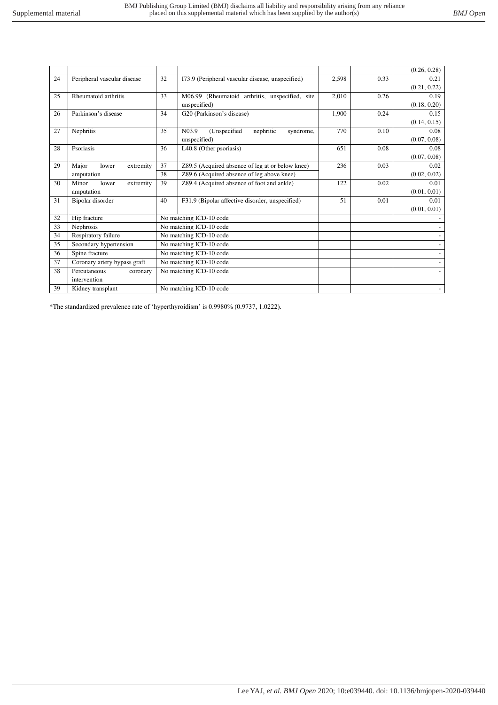|    |                              |    |                                                              |       |      | (0.26, 0.28)             |
|----|------------------------------|----|--------------------------------------------------------------|-------|------|--------------------------|
| 24 | Peripheral vascular disease  | 32 | I73.9 (Peripheral vascular disease, unspecified)             | 2,598 | 0.33 | 0.21                     |
|    |                              |    |                                                              |       |      | (0.21, 0.22)             |
| 25 | Rheumatoid arthritis         | 33 | M06.99 (Rheumatoid arthritis, unspecified, site              | 2,010 | 0.26 | 0.19                     |
|    |                              |    | unspecified)                                                 |       |      | (0.18, 0.20)             |
| 26 | Parkinson's disease          | 34 | G20 (Parkinson's disease)                                    | 1,900 | 0.24 | 0.15                     |
|    |                              |    |                                                              |       |      | (0.14, 0.15)             |
| 27 | Nephritis                    | 35 | N <sub>0</sub> 3.9<br>(Unspecified<br>nephritic<br>syndrome, | 770   | 0.10 | 0.08                     |
|    |                              |    | unspecified)                                                 |       |      | (0.07, 0.08)             |
| 28 | Psoriasis                    | 36 | L40.8 (Other psoriasis)                                      | 651   | 0.08 | 0.08                     |
|    |                              |    |                                                              |       |      | (0.07, 0.08)             |
| 29 | Major<br>extremity<br>lower  | 37 | Z89.5 (Acquired absence of leg at or below knee)             | 236   | 0.03 | 0.02                     |
|    | amputation                   | 38 | Z89.6 (Acquired absence of leg above knee)                   |       |      | (0.02, 0.02)             |
| 30 | Minor<br>lower<br>extremity  | 39 | Z89.4 (Acquired absence of foot and ankle)                   | 122   | 0.02 | 0.01                     |
|    | amputation                   |    |                                                              |       |      | (0.01, 0.01)             |
| 31 | Bipolar disorder             | 40 | F31.9 (Bipolar affective disorder, unspecified)              | 51    | 0.01 | 0.01                     |
|    |                              |    |                                                              |       |      | (0.01, 0.01)             |
| 32 | Hip fracture                 |    | No matching ICD-10 code                                      |       |      |                          |
| 33 | Nephrosis                    |    | No matching ICD-10 code                                      |       |      |                          |
| 34 | Respiratory failure          |    | No matching ICD-10 code                                      |       |      |                          |
| 35 | Secondary hypertension       |    | No matching ICD-10 code                                      |       |      |                          |
| 36 | Spine fracture               |    | No matching ICD-10 code                                      |       |      |                          |
| 37 | Coronary artery bypass graft |    | No matching ICD-10 code                                      |       |      |                          |
| 38 | Percutaneous<br>coronary     |    | No matching ICD-10 code                                      |       |      | $\overline{\phantom{0}}$ |
|    | intervention                 |    |                                                              |       |      |                          |
| 39 | Kidney transplant            |    | No matching ICD-10 code                                      |       |      |                          |

\*The standardized prevalence rate of 'hyperthyroidism' is 0.9980% (0.9737, 1.0222).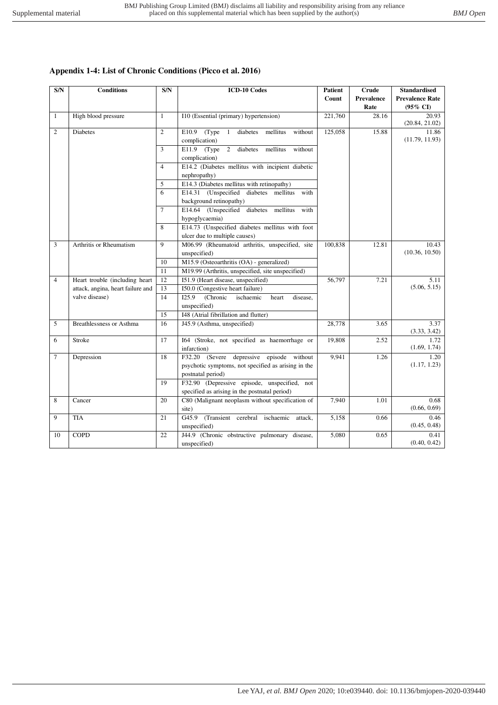# **Appendix 1-4: List of Chronic Conditions (Picco et al. 2016)**

| S/N            | <b>Conditions</b>                                                   | S/N                   | <b>ICD-10 Codes</b>                                                  | <b>Patient</b><br>Crude |            | <b>Standardised</b>     |  |  |
|----------------|---------------------------------------------------------------------|-----------------------|----------------------------------------------------------------------|-------------------------|------------|-------------------------|--|--|
|                |                                                                     |                       |                                                                      | Count                   | Prevalence | <b>Prevalence Rate</b>  |  |  |
|                |                                                                     |                       |                                                                      |                         | Rate       | (95% CI)                |  |  |
| 1              | High blood pressure                                                 | $\mathbf{1}$          | I10 (Essential (primary) hypertension)                               | 221,760                 | 28.16      | 20.93                   |  |  |
|                |                                                                     |                       |                                                                      |                         |            | (20.84, 21.02)          |  |  |
| 2              | <b>Diabetes</b>                                                     | $\overline{2}$        | diabetes<br>without<br>E10.9<br>(Type)<br>$\mathbf{1}$<br>mellitus   | 125,058                 | 15.88      | 11.86<br>(11.79, 11.93) |  |  |
|                |                                                                     |                       | complication)                                                        |                         |            |                         |  |  |
|                |                                                                     | 3                     | E11.9 $(Type 2)$<br>diabetes<br>mellitus<br>without<br>complication) |                         |            |                         |  |  |
|                |                                                                     | $\overline{4}$        | E14.2 (Diabetes mellitus with incipient diabetic                     |                         |            |                         |  |  |
|                |                                                                     |                       | nephropathy)                                                         |                         |            |                         |  |  |
|                |                                                                     | 5                     | E14.3 (Diabetes mellitus with retinopathy)                           |                         |            |                         |  |  |
|                |                                                                     | 6                     | E14.31 (Unspecified diabetes mellitus with                           |                         |            |                         |  |  |
|                |                                                                     |                       | background retinopathy)                                              |                         |            |                         |  |  |
|                |                                                                     | $\overline{7}$        | E14.64 (Unspecified diabetes mellitus<br>with                        |                         |            |                         |  |  |
|                |                                                                     |                       | hypoglycaemia)                                                       |                         |            |                         |  |  |
|                |                                                                     | 8                     | E14.73 (Unspecified diabetes mellitus with foot                      |                         |            |                         |  |  |
|                |                                                                     |                       | ulcer due to multiple causes)                                        |                         |            |                         |  |  |
| 3              | Arthritis or Rheumatism                                             | 9                     | M06.99 (Rheumatoid arthritis, unspecified, site                      | 100,838                 | 12.81      | 10.43<br>(10.36, 10.50) |  |  |
|                |                                                                     |                       | unspecified)                                                         |                         |            |                         |  |  |
|                |                                                                     | 10<br>$\overline{11}$ | M15.9 (Osteoarthritis (OA) - generalized)                            |                         |            |                         |  |  |
|                |                                                                     |                       | M19.99 (Arthritis, unspecified, site unspecified)                    |                         |            |                         |  |  |
| $\overline{4}$ | Heart trouble (including heart<br>attack, angina, heart failure and | 12<br>13              | 151.9 (Heart disease, unspecified)                                   | 56,797                  | 7.21       | 5.11<br>(5.06, 5.15)    |  |  |
|                | valve disease)                                                      | 14                    | I50.0 (Congestive heart failure)<br>(Chronic<br>ischaemic            |                         |            |                         |  |  |
|                |                                                                     |                       | I25.9<br>disease,<br>heart<br>unspecified)                           |                         |            |                         |  |  |
|                |                                                                     | 15                    | I48 (Atrial fibrillation and flutter)                                |                         |            |                         |  |  |
| 5              | <b>Breathlessness or Asthma</b>                                     | 16                    | J45.9 (Asthma, unspecified)                                          | 28,778                  | 3.65       | 3.37                    |  |  |
|                |                                                                     |                       |                                                                      |                         |            | (3.33, 3.42)            |  |  |
| 6              | Stroke                                                              | 17                    | I64 (Stroke, not specified as haemorrhage or                         | 19,808                  | 2.52       | 1.72                    |  |  |
|                |                                                                     |                       | infarction)                                                          |                         |            | (1.69, 1.74)            |  |  |
| $\overline{7}$ | Depression                                                          | 18                    | F32.20 (Severe depressive episode without                            | 9,941                   | 1.26       | 1.20                    |  |  |
|                |                                                                     |                       | psychotic symptoms, not specified as arising in the                  |                         |            | (1.17, 1.23)            |  |  |
|                |                                                                     |                       | postnatal period)                                                    |                         |            |                         |  |  |
|                |                                                                     | 19                    | F32.90 (Depressive episode, unspecified, not                         |                         |            |                         |  |  |
|                |                                                                     |                       | specified as arising in the postnatal period)                        |                         |            |                         |  |  |
| 8              | Cancer                                                              | 20                    | C80 (Malignant neoplasm without specification of                     | 7.940                   | 1.01       | 0.68                    |  |  |
|                |                                                                     |                       | site)                                                                |                         |            | (0.66, 0.69)            |  |  |
| 9              | <b>TIA</b>                                                          | 21                    | G45.9 (Transient cerebral ischaemic attack,                          | 5,158                   | 0.66       | 0.46                    |  |  |
|                |                                                                     |                       | unspecified)                                                         |                         |            | (0.45, 0.48)            |  |  |
| 10             | <b>COPD</b>                                                         | 22                    | J44.9 (Chronic obstructive pulmonary disease,                        | 5,080                   | 0.65       | 0.41                    |  |  |
|                |                                                                     |                       | unspecified)                                                         |                         |            | (0.40, 0.42)            |  |  |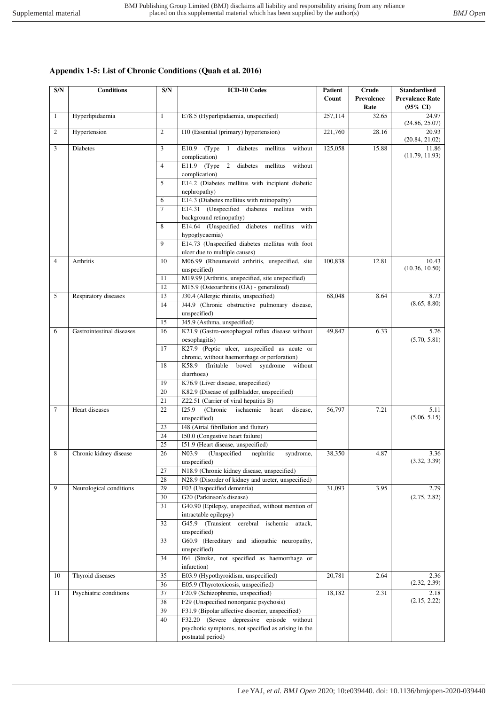# **Appendix 1-5: List of Chronic Conditions (Quah et al. 2016)**

| S/N            | <b>Conditions</b>         | S/N            | <b>ICD-10 Codes</b>                                                                                  | <b>Patient</b><br>Count | Crude<br>Prevalence<br>Rate | <b>Standardised</b><br><b>Prevalence Rate</b><br>$(95\% \text{ CI})$ |
|----------------|---------------------------|----------------|------------------------------------------------------------------------------------------------------|-------------------------|-----------------------------|----------------------------------------------------------------------|
| 1              | Hyperlipidaemia           | $\mathbf{1}$   | E78.5 (Hyperlipidaemia, unspecified)                                                                 | 257,114                 | 32.65                       | 24.97<br>(24.86, 25.07)                                              |
| $\overline{c}$ | Hypertension              | $\overline{2}$ | I10 (Essential (primary) hypertension)                                                               | 221,760                 | 28.16                       | 20.93<br>(20.84, 21.02)                                              |
| 3              | <b>Diabetes</b>           |                | (Type)<br>diabetes<br>mellitus<br>without<br>E10.9<br><sup>1</sup><br>complication)                  | 125,058                 | 15.88                       | 11.86<br>(11.79, 11.93)                                              |
|                |                           | 4              | $E11.9$ (Type<br>2 diabetes<br>mellitus<br>without<br>complication)                                  |                         |                             |                                                                      |
|                |                           | 5              | E14.2 (Diabetes mellitus with incipient diabetic<br>nephropathy)                                     |                         |                             |                                                                      |
|                |                           | 6              | E14.3 (Diabetes mellitus with retinopathy)                                                           |                         |                             |                                                                      |
|                |                           | $\overline{7}$ | E14.31 (Unspecified diabetes mellitus<br>with                                                        |                         |                             |                                                                      |
|                |                           | 8              | background retinopathy)<br>E14.64 (Unspecified diabetes mellitus<br>with                             |                         |                             |                                                                      |
|                |                           | 9              | hypoglycaemia)<br>E14.73 (Unspecified diabetes mellitus with foot                                    |                         |                             |                                                                      |
|                |                           |                | ulcer due to multiple causes)                                                                        |                         |                             |                                                                      |
| 4              | Arthritis                 | 10             | M06.99 (Rheumatoid arthritis, unspecified, site<br>unspecified)                                      | 100,838                 | 12.81                       | 10.43<br>(10.36, 10.50)                                              |
|                |                           | 11             | M19.99 (Arthritis, unspecified, site unspecified)                                                    |                         |                             |                                                                      |
|                |                           | 12             | M15.9 (Osteoarthritis (OA) - generalized)                                                            |                         |                             |                                                                      |
| 5              | Respiratory diseases      | 13             | J30.4 (Allergic rhinitis, unspecified)                                                               | 68,048                  | 8.64                        | 8.73                                                                 |
|                |                           | 14             | J44.9 (Chronic obstructive pulmonary disease,<br>unspecified)                                        |                         |                             | (8.65, 8.80)                                                         |
|                |                           | 15             | J45.9 (Asthma, unspecified)                                                                          |                         |                             |                                                                      |
| 6              | Gastrointestinal diseases | 16             | K21.9 (Gastro-oesophageal reflux disease without<br>oesophagitis)                                    | 49,847                  | 6.33                        | 5.76<br>(5.70, 5.81)                                                 |
|                |                           | 17             | K27.9 (Peptic ulcer, unspecified as acute or                                                         |                         |                             |                                                                      |
|                |                           | 18             | chronic, without haemorrhage or perforation)<br>K58.9<br>syndrome<br>(Irritable)<br>bowel<br>without |                         |                             |                                                                      |
|                |                           |                | diarrhoea)                                                                                           |                         |                             |                                                                      |
|                |                           | 19             | K76.9 (Liver disease, unspecified)                                                                   |                         |                             |                                                                      |
|                |                           | 20             | K82.9 (Disease of gallbladder, unspecified)                                                          |                         |                             |                                                                      |
|                |                           | 21             | Z22.51 (Carrier of viral hepatitis B)                                                                |                         |                             |                                                                      |
| $\tau$         | Heart diseases            | 22             | I25.9<br>(Chronic<br>ischaemic<br>heart<br>disease,                                                  | 56,797                  | 7.21                        | 5.11<br>(5.06, 5.15)                                                 |
|                |                           | 23             | unspecified)<br>I48 (Atrial fibrillation and flutter)                                                |                         |                             |                                                                      |
|                |                           | 24             | I50.0 (Congestive heart failure)                                                                     |                         |                             |                                                                      |
|                |                           | 25             | I51.9 (Heart disease, unspecified)                                                                   |                         |                             |                                                                      |
| 8              | Chronic kidney disease    | 26             | N03.9<br>(Unspecified<br>nephritic<br>syndrome,                                                      | 38,350                  | 4.87                        | 3.36                                                                 |
|                |                           |                | unspecified)                                                                                         |                         |                             | (3.32, 3.39)                                                         |
|                |                           | 27             | N18.9 (Chronic kidney disease, unspecified)                                                          |                         |                             |                                                                      |
|                |                           | 28             | N28.9 (Disorder of kidney and ureter, unspecified)                                                   |                         |                             |                                                                      |
| 9              | Neurological conditions   | 29<br>30       | F03 (Unspecified dementia)<br>G20 (Parkinson's disease)                                              | 31,093                  | 3.95                        | 2.79<br>(2.75, 2.82)                                                 |
|                |                           | 31             | G40.90 (Epilepsy, unspecified, without mention of                                                    |                         |                             |                                                                      |
|                |                           |                | intractable epilepsy)                                                                                |                         |                             |                                                                      |
|                |                           | 32             | G45.9 (Transient cerebral<br>ischemic<br>attack,                                                     |                         |                             |                                                                      |
|                |                           |                | unspecified)                                                                                         |                         |                             |                                                                      |
|                |                           | 33             | G60.9 (Hereditary and idiopathic neuropathy,                                                         |                         |                             |                                                                      |
|                |                           |                | unspecified)                                                                                         |                         |                             |                                                                      |
|                |                           | 34             | I64 (Stroke, not specified as haemorrhage or<br>infarction)                                          |                         |                             |                                                                      |
| 10             | Thyroid diseases          | 35             | E03.9 (Hypothyroidism, unspecified)                                                                  | 20,781                  | 2.64                        | 2.36                                                                 |
|                |                           | 36             | E05.9 (Thyrotoxicosis, unspecified)                                                                  |                         |                             | (2.32, 2.39)                                                         |
| 11             | Psychiatric conditions    | 37             | F20.9 (Schizophrenia, unspecified)                                                                   | 18,182                  | 2.31                        | 2.18<br>(2.15, 2.22)                                                 |
|                |                           | 38<br>39       | F29 (Unspecified nonorganic psychosis)<br>F31.9 (Bipolar affective disorder, unspecified)            |                         |                             |                                                                      |
|                |                           | 40             | F32.20 (Severe depressive episode without                                                            |                         |                             |                                                                      |
|                |                           |                | psychotic symptoms, not specified as arising in the                                                  |                         |                             |                                                                      |
|                |                           |                | postnatal period)                                                                                    |                         |                             |                                                                      |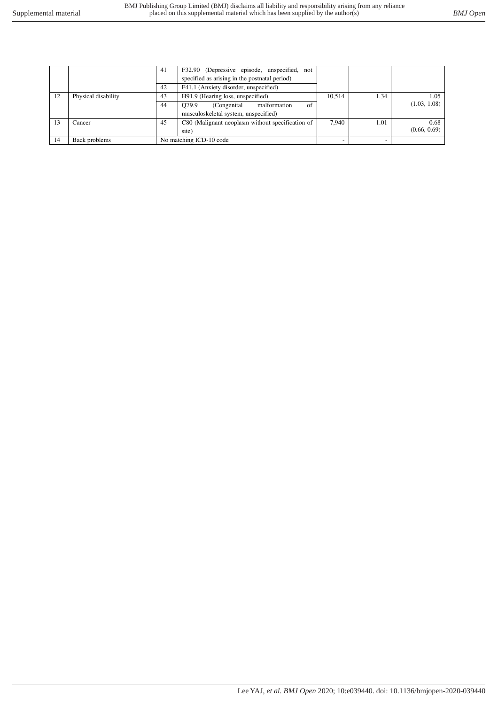|    |                     | 41 | F32.90 (Depressive episode, unspecified, not     |        |      |              |
|----|---------------------|----|--------------------------------------------------|--------|------|--------------|
|    |                     |    | specified as arising in the postnatal period)    |        |      |              |
|    |                     | 42 | F41.1 (Anxiety disorder, unspecified)            |        |      |              |
| 12 | Physical disability | 43 | H91.9 (Hearing loss, unspecified)                | 10.514 | 1.34 | 1.05         |
|    |                     | 44 | O79.9<br>malformation<br>(Congenital)<br>of      |        |      | (1.03, 1.08) |
|    |                     |    | musculoskeletal system, unspecified)             |        |      |              |
| 13 | Cancer              | 45 | C80 (Malignant neoplasm without specification of | 7.940  | 1.01 | 0.68         |
|    |                     |    | site)                                            |        |      | (0.66, 0.69) |
| 14 | Back problems       |    | No matching ICD-10 code                          |        |      |              |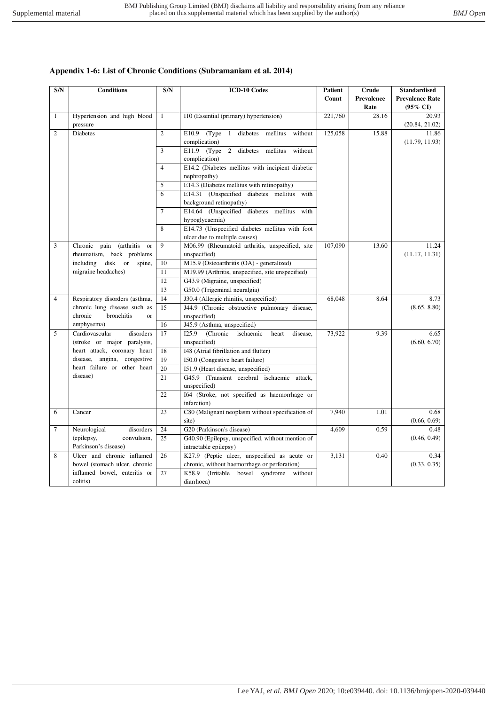## **Appendix 1-6: List of Chronic Conditions (Subramaniam et al. 2014)**

| S/N            | <b>Conditions</b>                               | S/N            | <b>ICD-10 Codes</b>                                                   | Patient | Crude      | <b>Standardised</b>    |
|----------------|-------------------------------------------------|----------------|-----------------------------------------------------------------------|---------|------------|------------------------|
|                |                                                 |                |                                                                       | Count   | Prevalence | <b>Prevalence Rate</b> |
|                |                                                 |                |                                                                       |         | Rate       | $(95\% \text{ CI})$    |
| $\mathbf{1}$   | Hypertension and high blood                     | $\mathbf{1}$   | I10 (Essential (primary) hypertension)                                | 221,760 | 28.16      | 20.93                  |
|                | pressure                                        |                |                                                                       |         |            | (20.84, 21.02)         |
| $\overline{2}$ | <b>Diabetes</b>                                 | $\overline{2}$ | E10.9 (Type 1 diabetes mellitus<br>without                            | 125,058 | 15.88      | 11.86                  |
|                |                                                 |                | complication)                                                         |         |            | (11.79, 11.93)         |
|                |                                                 | $\overline{3}$ | E11.9 (Type 2 diabetes mellitus<br>without                            |         |            |                        |
|                |                                                 |                | complication)                                                         |         |            |                        |
|                |                                                 | $\overline{4}$ | E14.2 (Diabetes mellitus with incipient diabetic                      |         |            |                        |
|                |                                                 |                | nephropathy)                                                          |         |            |                        |
|                |                                                 | 5              | E14.3 (Diabetes mellitus with retinopathy)                            |         |            |                        |
|                |                                                 | 6              | E14.31 (Unspecified diabetes mellitus with                            |         |            |                        |
|                |                                                 | $\overline{7}$ | background retinopathy)<br>E14.64 (Unspecified diabetes mellitus with |         |            |                        |
|                |                                                 |                |                                                                       |         |            |                        |
|                |                                                 | 8              | hypoglycaemia)<br>E14.73 (Unspecified diabetes mellitus with foot     |         |            |                        |
|                |                                                 |                | ulcer due to multiple causes)                                         |         |            |                        |
| $\mathfrak{Z}$ | Chronic<br>pain<br>(arthritis)<br><sub>or</sub> | $\mathbf{Q}$   | M06.99 (Rheumatoid arthritis, unspecified, site                       | 107,090 | 13.60      | 11.24                  |
|                | rheumatism, back problems                       |                | unspecified)                                                          |         |            | (11.17, 11.31)         |
|                | including disk or spine,                        | 10             | M15.9 (Osteoarthritis (OA) - generalized)                             |         |            |                        |
|                | migraine headaches)                             | 11             | M19.99 (Arthritis, unspecified, site unspecified)                     |         |            |                        |
|                |                                                 | 12             | G43.9 (Migraine, unspecified)                                         |         |            |                        |
|                |                                                 | 13             | G50.0 (Trigeminal neuralgia)                                          |         |            |                        |
| $\overline{4}$ | Respiratory disorders (asthma,                  | 14             | J30.4 (Allergic rhinitis, unspecified)                                | 68,048  | 8.64       | 8.73                   |
|                | chronic lung disease such as                    | 15             | J44.9 (Chronic obstructive pulmonary disease,                         |         |            | (8.65, 8.80)           |
|                | bronchitis<br>chronic<br>$\alpha$ r             |                | unspecified)                                                          |         |            |                        |
|                | emphysema)                                      | 16             | J45.9 (Asthma, unspecified)                                           |         |            |                        |
| 5              | Cardiovascular<br>disorders                     | 17             | (Chronic<br>ischaemic<br>I25.9<br>heart<br>disease,                   | 73,922  | 9.39       | 6.65                   |
|                | (stroke or major paralysis,                     |                | unspecified)                                                          |         |            | (6.60, 6.70)           |
|                | heart attack, coronary heart                    | 18             | I48 (Atrial fibrillation and flutter)                                 |         |            |                        |
|                | disease, angina, congestive                     | 19             | I50.0 (Congestive heart failure)                                      |         |            |                        |
|                | heart failure or other heart                    | 20             | 151.9 (Heart disease, unspecified)                                    |         |            |                        |
|                | disease)                                        | 21             | G45.9 (Transient cerebral ischaemic attack,                           |         |            |                        |
|                |                                                 |                | unspecified)                                                          |         |            |                        |
|                |                                                 | 22             | I64 (Stroke, not specified as haemorrhage or                          |         |            |                        |
|                |                                                 |                | infarction)                                                           |         |            |                        |
| 6              | Cancer                                          | 23             | C80 (Malignant neoplasm without specification of                      | 7,940   | 1.01       | 0.68                   |
|                |                                                 |                | site)                                                                 |         |            | (0.66, 0.69)           |
| $\tau$         | Neurological<br>disorders                       | 24             | G20 (Parkinson's disease)                                             | 4,609   | 0.59       | 0.48                   |
|                | (epilepsy,<br>convulsion,                       | 25             | G40.90 (Epilepsy, unspecified, without mention of                     |         |            | (0.46, 0.49)           |
|                | Parkinson's disease)                            |                | intractable epilepsy)                                                 |         |            |                        |
| 8              | Ulcer and chronic inflamed                      | 26             | K27.9 (Peptic ulcer, unspecified as acute or                          | 3,131   | 0.40       | 0.34                   |
|                | bowel (stomach ulcer, chronic                   |                | chronic, without haemorrhage or perforation)                          |         |            | (0.33, 0.35)           |
|                | inflamed bowel, enteritis or                    | 27             | K58.9 (Irritable bowel syndrome without                               |         |            |                        |
|                | colitis)                                        |                | diarrhoea)                                                            |         |            |                        |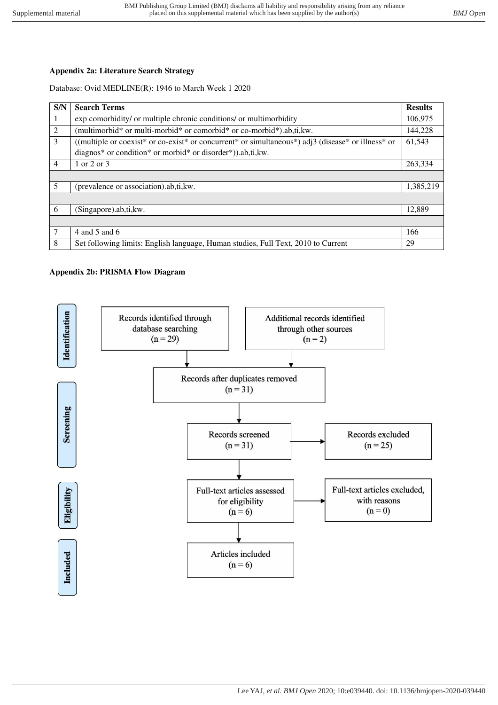# **Appendix 2a: Literature Search Strategy**

## Database: Ovid MEDLINE(R): 1946 to March Week 1 2020

| <b>S/N</b>     | <b>Search Terms</b>                                                                                | <b>Results</b> |
|----------------|----------------------------------------------------------------------------------------------------|----------------|
|                | exp comorbidity/ or multiple chronic conditions/ or multimorbidity                                 | 106,975        |
| $\overline{2}$ | (multimorbid* or multi-morbid* or comorbid* or co-morbid*).ab,ti,kw.                               | 144,228        |
| 3              | ((multiple or coexist* or co-exist* or concurrent* or simultaneous*) adj3 (disease* or illness* or | 61,543         |
|                | diagnos* or condition* or morbid* or disorder*)).ab,ti,kw.                                         |                |
| $\overline{4}$ | 1 or 2 or 3                                                                                        | 263,334        |
|                |                                                                                                    |                |
| 5              | (prevalence or association).ab,ti, kw.                                                             | 1,385,219      |
|                |                                                                                                    |                |
| 6              | (Singapore).ab,ti,kw.                                                                              | 12,889         |
|                |                                                                                                    |                |
|                | 4 and 5 and 6                                                                                      | 166            |
| 8              | Set following limits: English language, Human studies, Full Text, 2010 to Current                  | 29             |

## **Appendix 2b: PRISMA Flow Diagram**

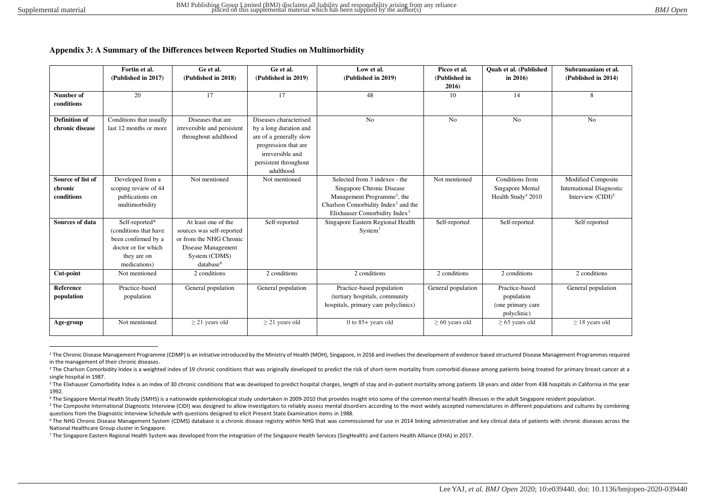#### **Appendix 3: A Summary of the Differences between Reported Studies on Multimorbidity**

|                        | Fortin et al.<br>(Published in 2017) | Ge et al.<br>(Published in 2018) | Ge et al.<br>(Published in 2019) | Low et al.<br>(Published in 2019)               | Picco et al.<br>(Published in | <b>Ouah et al. (Published)</b><br>in $2016$ | Subramaniam et al.<br>(Published in 2014) |
|------------------------|--------------------------------------|----------------------------------|----------------------------------|-------------------------------------------------|-------------------------------|---------------------------------------------|-------------------------------------------|
|                        |                                      |                                  |                                  |                                                 | 2016)                         |                                             |                                           |
| Number of              | 20                                   | 17                               | 17                               | 48                                              | 10                            | 14                                          | 8                                         |
| conditions             |                                      |                                  |                                  |                                                 |                               |                                             |                                           |
|                        |                                      |                                  |                                  |                                                 |                               |                                             |                                           |
| <b>Definition of</b>   | Conditions that usually              | Diseases that are                | Diseases characterised           | N <sub>o</sub>                                  | N <sub>o</sub>                | N <sub>o</sub>                              | N <sub>o</sub>                            |
| chronic disease        | last 12 months or more               | irreversible and persistent      | by a long duration and           |                                                 |                               |                                             |                                           |
|                        |                                      | throughout adulthood             | are of a generally slow          |                                                 |                               |                                             |                                           |
|                        |                                      |                                  | progression that are             |                                                 |                               |                                             |                                           |
|                        |                                      |                                  | irreversible and                 |                                                 |                               |                                             |                                           |
|                        |                                      |                                  | persistent throughout            |                                                 |                               |                                             |                                           |
|                        |                                      |                                  | adulthood                        |                                                 |                               |                                             |                                           |
| Source of list of      | Developed from a                     | Not mentioned                    | Not mentioned                    | Selected from 3 indexes - the                   | Not mentioned                 | Conditions from                             | Modified Composite                        |
| chronic                | scoping review of 44                 |                                  |                                  | Singapore Chronic Disease                       |                               | Singapore Mental                            | <b>International Diagnostic</b>           |
| conditions             | publications on                      |                                  |                                  | Management Programme <sup>1</sup> , the         |                               | Health Study <sup>4</sup> 2010              | Interview $\rm (CIDI)^5$                  |
|                        | multimorbidity                       |                                  |                                  | Charlson Comorbidity Index <sup>2</sup> and the |                               |                                             |                                           |
|                        |                                      |                                  |                                  | Elixhauser Comorbidity Index <sup>3</sup>       |                               |                                             |                                           |
| <b>Sources of data</b> | Self-reported*                       | At least one of the              | Self-reported                    | Singapore Eastern Regional Health               | Self-reported                 | Self-reported                               | Self-reported                             |
|                        | (conditions that have                | sources was self-reported        |                                  | System <sup>7</sup>                             |                               |                                             |                                           |
|                        | been confirmed by a                  | or from the NHG Chronic          |                                  |                                                 |                               |                                             |                                           |
|                        | doctor or for which                  | Disease Management               |                                  |                                                 |                               |                                             |                                           |
|                        | they are on                          | System (CDMS)                    |                                  |                                                 |                               |                                             |                                           |
|                        | medications)                         | database <sup>6</sup>            |                                  |                                                 |                               |                                             |                                           |
| Cut-point              | Not mentioned                        | 2 conditions                     | 2 conditions                     | 2 conditions                                    | 2 conditions                  | 2 conditions                                | 2 conditions                              |
|                        | Practice-based                       |                                  |                                  |                                                 |                               | Practice-based                              |                                           |
| Reference              |                                      | General population               | General population               | Practice-based population                       | General population            |                                             | General population                        |
| population             | population                           |                                  |                                  | (tertiary hospitals, community                  |                               | population                                  |                                           |
|                        |                                      |                                  |                                  | hospitals, primary care polyclinics)            |                               | (one primary care                           |                                           |
|                        |                                      |                                  |                                  |                                                 |                               | polyclinic)                                 |                                           |
| Age-group              | Not mentioned                        | $\geq$ 21 years old              | $\geq$ 21 years old              | $0$ to $85+$ years old                          | $\geq 60$ years old           | $\geq 65$ years old                         | $\geq$ 18 years old                       |
|                        |                                      |                                  |                                  |                                                 |                               |                                             |                                           |

<sup>&</sup>lt;sup>1</sup> The Chronic Disease Management Programme (CDMP) is an initiative introduced by the Ministry of Health (MOH), Singapore, in 2016 and involves the development of evidence-based structured Disease Management Programmes re in the management of their chronic diseases.

<sup>&</sup>lt;sup>2</sup> The Charlson Comorbidity Index is a weighted index of 19 chronic conditions that was originally developed to predict the risk of short-term mortality from comorbid disease among patients being treated for primary breas single hospital in 1987.

<sup>&</sup>lt;sup>3</sup> The Elixhauser Comorbidity Index is an index of 30 chronic conditions that was developed to predict hospital charges, length of stay and in-patient mortality among patients 18 years and older from 438 hospitals in Cali 1992.

<sup>4</sup> The Singapore Mental Health Study (SMHS) is a nationwide epidemiological study undertaken in 2009-2010 that provides insight into some of the common mental health illnesses in the adult Singapore resident population.

<sup>&</sup>lt;sup>5</sup> The Composite International Diagnostic Interview (CIDI) was designed to allow investigators to reliably assess mental disorders according to the most widely accepted nomenclatures in different populations and cultures questions from the Diagnostic Interview Schedule with questions designed to elicit Present State Examination items in 1988.

<sup>&</sup>lt;sup>6</sup> The NHG Chronic Disease Management System (CDMS) database is a chronic disease registry within NHG that was commissioned for use in 2014 linking administrative and key clinical data of patients with chronic diseases ac National Healthcare Group cluster in Singapore.

<sup>&</sup>lt;sup>7</sup> The Singapore Eastern Regional Health System was developed from the integration of the Singapore Health Services (SingHealth) and Eastern Health Alliance (EHA) in 2017.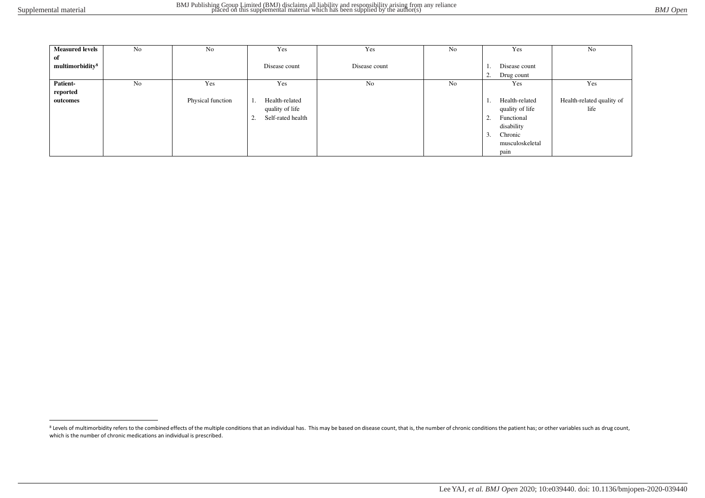| <b>Measured levels</b>      | No             | No                | Yes                     | Yes            | No | Yes                  | No                        |
|-----------------------------|----------------|-------------------|-------------------------|----------------|----|----------------------|---------------------------|
| of                          |                |                   |                         |                |    |                      |                           |
| multimorbidity <sup>8</sup> |                |                   | Disease count           | Disease count  |    | Disease count        |                           |
|                             |                |                   |                         |                |    | 2.<br>Drug count     |                           |
| Patient-                    | N <sub>0</sub> | Yes               | Yes                     | N <sub>0</sub> | No | Yes                  | Yes                       |
| reported                    |                |                   |                         |                |    |                      |                           |
| outcomes                    |                | Physical function | Health-related<br>Ι.    |                |    | Health-related<br>1. | Health-related quality of |
|                             |                |                   | quality of life         |                |    | quality of life      | life                      |
|                             |                |                   | Self-rated health<br>2. |                |    | Functional<br>2.     |                           |
|                             |                |                   |                         |                |    | disability           |                           |
|                             |                |                   |                         |                |    | 3.<br>Chronic        |                           |
|                             |                |                   |                         |                |    | musculoskeletal      |                           |
|                             |                |                   |                         |                |    | pain                 |                           |

<sup>&</sup>lt;sup>8</sup> Levels of multimorbidity refers to the combined effects of the multiple conditions that an individual has. This may be based on disease count, that is, the number of chronic conditions the patient has; or other variabl which is the number of chronic medications an individual is prescribed.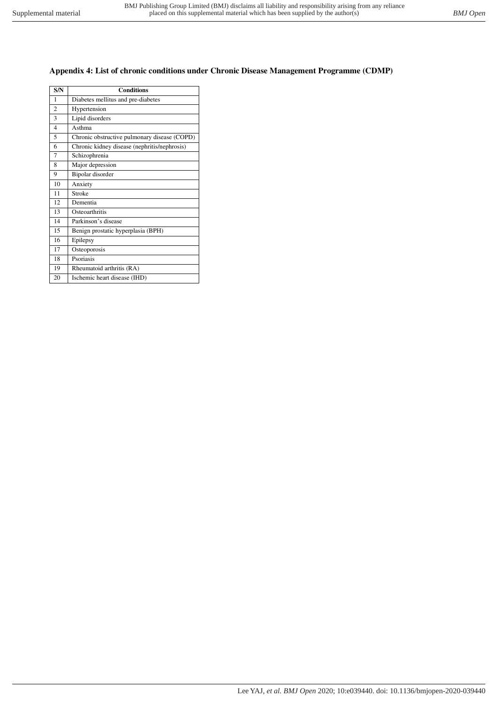## **Appendix 4: List of chronic conditions under Chronic Disease Management Programme (CDMP)**

| S/N            | <b>Conditions</b>                            |
|----------------|----------------------------------------------|
| 1              | Diabetes mellitus and pre-diabetes           |
| $\overline{c}$ | Hypertension                                 |
| 3              | Lipid disorders                              |
| $\overline{4}$ | Asthma                                       |
| 5              | Chronic obstructive pulmonary disease (COPD) |
| 6              | Chronic kidney disease (nephritis/nephrosis) |
| 7              | Schizophrenia                                |
| 8              | Major depression                             |
| 9              | Bipolar disorder                             |
| 10             | Anxiety                                      |
| 11             | Stroke                                       |
| 12             | Dementia                                     |
| 13             | Osteoarthritis                               |
| 14             | Parkinson's disease                          |
| 15             | Benign prostatic hyperplasia (BPH)           |
| 16             | Epilepsy                                     |
| 17             | Osteoporosis                                 |
| 18             | Psoriasis                                    |
| 19             | Rheumatoid arthritis (RA)                    |
| 20             | Ischemic heart disease (IHD)                 |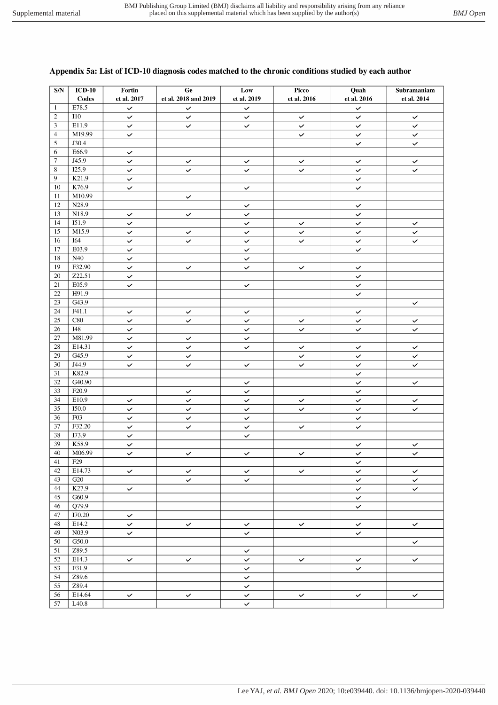#### $\overline{\text{SN}}$  $ICD-10$ Fortin  $\overline{Ge}$ Low Picco Ouah Subramaniam et al. 2018 and 2019 Codes et al. 2017 et al. 2019 et al. 2016 et al. 2016 et al. 2014 E78.5  $\overline{1}$  $\checkmark$  $\checkmark$  $\checkmark$  $\checkmark$  $\overline{2}$  $110$  $\checkmark$  $\checkmark$  $\checkmark$  $\checkmark$  $\checkmark$  $\checkmark$ E11.9  $\overline{3}$  $\checkmark$  $\checkmark$  $\checkmark$  $\checkmark$  $\checkmark$  $\checkmark$  $\overline{4}$ M<sub>19.99</sub>  $\checkmark$  $\overline{\check{}}$  $\overline{\check{}}$  $\checkmark$  $\overline{5}$ J30.4  $\checkmark$  $\checkmark$  $\overline{6}$ E66.9  $\overline{\checkmark}$  $\overline{7}$  $\overline{J45.9}$  $\checkmark$  $\checkmark$  $\checkmark$  $\checkmark$  $\checkmark$  $\checkmark$  $\overline{8}$  $\overline{125.9}$  $\checkmark$  $\checkmark$  $\checkmark$  $\checkmark$  $\checkmark$  $\checkmark$  $\overline{9}$  $K21.9$  $\overline{\checkmark}$  $\checkmark$  $\overline{10}$ K76.9  $\checkmark$  $\overline{\check{}}$  $\checkmark$  $\overline{11}$ M10.99  $\checkmark$  $\overline{12}$  $N28.9$  $\overline{\mathsf{v}}$  $\checkmark$ 13 N18.9  $\overline{\checkmark}$  $\overline{\checkmark}$  $\overline{\checkmark}$  $\overline{\mathbf{v}}$ 14 I51.9  $\checkmark$  $\checkmark$  $\checkmark$  $\checkmark$  $\checkmark$  $\overline{15}$  $M15.9$  $\checkmark$  $\checkmark$  $\checkmark$  $\checkmark$  $\checkmark$  $\checkmark$  $\overline{16}$  $\overline{164}$  $\checkmark$  $\checkmark$  $\checkmark$  $\checkmark$  $\checkmark$  $\checkmark$  $\overline{17}$ E03.9  $\checkmark$  $\checkmark$  $\checkmark$ 18  $N40$  $\checkmark$ F32.90  $\overline{19}$  $\checkmark$  $\checkmark$  $\mathbf{v}$  $\checkmark$  $\checkmark$  $\overline{Z22.51}$  $\overline{20}$  $\checkmark$  $\checkmark$  $\overline{21}$ E05.9  $\checkmark$  $\overline{\checkmark}$  $\checkmark$ 22 H91.9  $\checkmark$  $\overline{23}$ G43.9  $\checkmark$  $\overline{24}$  $F41.1$  $\checkmark$  $\checkmark$  $\checkmark$  $\checkmark$  $\overline{25}$  $\overline{\text{C}80}$  $\checkmark$  $\checkmark$  $\checkmark$  $\checkmark$  $\checkmark$  $\checkmark$  $\overline{26}$ **I48**  $\checkmark$  $\checkmark$  $\checkmark$  $\checkmark$  $\checkmark$  $\overline{27}$ M81.99  $\checkmark$  $\checkmark$  $\overline{28}$ E14.31  $\overline{\check{}}$  $\ddot{\phantom{0}}$  $\checkmark$  $\checkmark$  $\checkmark$  $\checkmark$  $\overline{29}$  $\overline{G45.9}$  $\checkmark$  $\checkmark$  $\checkmark$  $\mathbf{v}$  $\checkmark$  $\overline{30}$  $J44.9$  $\checkmark$  $\checkmark$  $\checkmark$  $\checkmark$  $\checkmark$  $\checkmark$  $\overline{31}$ K82.9  $\checkmark$  $\sqrt{G40.90}$  $\overline{32}$  $\checkmark$  $\checkmark$  $\checkmark$  $\overline{33}$  $F20.9$  $\checkmark$  $\checkmark$  $\checkmark$  $\overline{34}$ E10.9  $\checkmark$  $\checkmark$  $\checkmark$  $\checkmark$  $\checkmark$  $\checkmark$  $\overline{35}$ **I50.0**  $\checkmark$  $\checkmark$  $\checkmark$  $\checkmark$  $\checkmark$  $\checkmark$  $\overline{36}$  $F03$  $\checkmark$  $\checkmark$  $\checkmark$  $\checkmark$  $F32.20$  $\overline{37}$  $\overline{\checkmark}$  $\checkmark$  $\checkmark$  $\checkmark$  $\checkmark$  $\overline{38}$  $173.9$  $\overline{\checkmark}$  $\checkmark$  $\overline{39}$ K58.9  $\checkmark$  $\checkmark$  $\checkmark$  $40$ M06.99  $\overline{\checkmark}$  $\overline{\checkmark}$  $\overline{\checkmark}$  $\overline{\checkmark}$  $\overline{\checkmark}$  $\overline{\checkmark}$  $\overline{41}$  $\overline{F29}$  $\checkmark$  $\overline{42}$ E14.73  $\checkmark$  $\checkmark$  $\checkmark$  $\checkmark$  $\checkmark$  $\checkmark$  $43$  $G20$  $\overline{\check{}}$  $\checkmark$  $\checkmark$  $\checkmark$ K27.9  $44$  $\checkmark$  $\checkmark$  $\checkmark$  $\overline{45}$  $G60.9$  $\checkmark$ O79.9  $\overline{46}$  $\checkmark$  $47$ I70.20  $\checkmark$ 48 E14.2  $\checkmark$  $\overline{\mathbf{v}}$  $\checkmark$  $\checkmark$  $\checkmark$  $\checkmark$  $\overline{49}$  $N03.9$  $\checkmark$  $\checkmark$  $\checkmark$  $\overline{50}$  $G50.0$  $\checkmark$  $\overline{51}$  $\overline{Z89.5}$  $\checkmark$ 52 E14.3  $\checkmark$  $\checkmark$  $\checkmark$  $\checkmark$  $\checkmark$  $\checkmark$  $\overline{53}$ F31.9  $\checkmark$  $\overline{ }$  $\overline{54}$ Z89.6  $\checkmark$  $\overline{55}$ Z89.4  $\overline{\checkmark}$  $\overline{56}$ E14.64  $\checkmark$  $\checkmark$  $\checkmark$  $\checkmark$  $\checkmark$  $\checkmark$  $\overline{57}$  $L40.8$  $\mathbf{v}$

## Appendix 5a: List of ICD-10 diagnosis codes matched to the chronic conditions studied by each author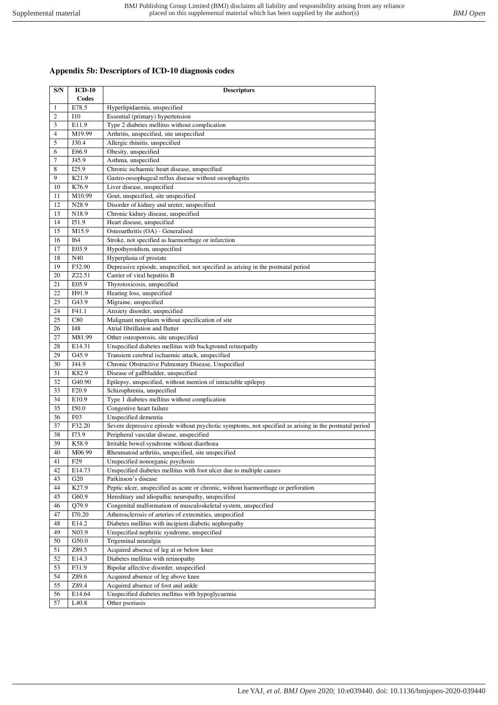## **Appendix 5b: Descriptors of ICD-10 diagnosis codes**

| S/N            | $ICD-10$<br>Codes         | <b>Descriptors</b>                                                                                       |  |  |  |  |
|----------------|---------------------------|----------------------------------------------------------------------------------------------------------|--|--|--|--|
| 1              | E78.5                     | Hyperlipidaemia, unspecified                                                                             |  |  |  |  |
| $\overline{c}$ | <b>I10</b>                | Essential (primary) hypertension                                                                         |  |  |  |  |
| 3              | E11.9                     | Type 2 diabetes mellitus without complication                                                            |  |  |  |  |
| $\overline{4}$ | M19.99                    | Arthritis, unspecified, site unspecified                                                                 |  |  |  |  |
| 5              | J30.4                     | Allergic rhinitis, unspecified                                                                           |  |  |  |  |
| 6              | E66.9                     | Obesity, unspecified                                                                                     |  |  |  |  |
| 7              | J45.9                     | Asthma, unspecified                                                                                      |  |  |  |  |
| 8              | I25.9                     | Chronic ischaemic heart disease, unspecified                                                             |  |  |  |  |
| 9              | K21.9                     | Gastro-oesophageal reflux disease without oesophagitis                                                   |  |  |  |  |
| 10             | K76.9                     | Liver disease, unspecified                                                                               |  |  |  |  |
| 11             | M10.99                    | Gout, unspecified, site unspecified                                                                      |  |  |  |  |
| 12             | N28.9                     | Disorder of kidney and ureter, unspecified                                                               |  |  |  |  |
| 13             | N18.9                     | Chronic kidney disease, unspecified                                                                      |  |  |  |  |
| 14             | I51.9                     | Heart disease, unspecified                                                                               |  |  |  |  |
| 15             | M15.9                     | Osteoarthritis (OA) - Generalised                                                                        |  |  |  |  |
| 16             | I64                       | Stroke, not specified as haemorrhage or infarction                                                       |  |  |  |  |
| 17             | E03.9                     | Hypothyroidism, unspecified                                                                              |  |  |  |  |
| 18             | N40                       | Hyperplasia of prostate                                                                                  |  |  |  |  |
| 19             | F32.90                    | Depressive episode, unspecified, not specified as arising in the postnatal period                        |  |  |  |  |
| 20             | Z22.51                    | Carrier of viral hepatitis B                                                                             |  |  |  |  |
| 21             | E05.9                     | Thyrotoxicosis, unspecified                                                                              |  |  |  |  |
| 22             | H91.9                     | Hearing loss, unspecified                                                                                |  |  |  |  |
| 23             | G43.9                     | Migraine, unspecified                                                                                    |  |  |  |  |
|                |                           | Anxiety disorder, unspecified                                                                            |  |  |  |  |
| 24<br>25       | F41.1                     |                                                                                                          |  |  |  |  |
|                | C80                       | Malignant neoplasm without specification of site<br>Atrial fibrillation and flutter                      |  |  |  |  |
| 26<br>27       | <b>I48</b><br>M81.99      |                                                                                                          |  |  |  |  |
|                |                           | Other osteoporosis, site unspecified                                                                     |  |  |  |  |
| 28             | E14.31                    | Unspecified diabetes mellitus with background retinopathy                                                |  |  |  |  |
| 29<br>30       | G45.9<br>J44.9            | Transient cerebral ischaemic attack, unspecified<br>Chronic Obstructive Pulmonary Disease, Unspecified   |  |  |  |  |
| 31             | K82.9                     | Disease of gallbladder, unspecified                                                                      |  |  |  |  |
| 32             | G40.90                    | Epilepsy, unspecified, without mention of intractable epilepsy                                           |  |  |  |  |
| 33             | F <sub>20.9</sub>         | Schizophrenia, unspecified                                                                               |  |  |  |  |
| 34             | E10.9                     | Type 1 diabetes mellitus without complication                                                            |  |  |  |  |
| 35             | I50.0                     | Congestive heart failure                                                                                 |  |  |  |  |
| 36             | F03                       | Unspecified dementia                                                                                     |  |  |  |  |
| 37             | F32.20                    | Severe depressive episode without psychotic symptoms, not specified as arising in the postnatal period   |  |  |  |  |
| 38             | I73.9                     | Peripheral vascular disease, unspecified                                                                 |  |  |  |  |
| 39             | K58.9                     | Irritable bowel syndrome without diarrhoea                                                               |  |  |  |  |
| 40             | M06.99                    | Rheumatoid arthritis, unspecified, site unspecified                                                      |  |  |  |  |
| 41             |                           |                                                                                                          |  |  |  |  |
| 42             | F <sub>29</sub><br>E14.73 | Unspecified nonorganic psychosis<br>Unspecified diabetes mellitus with foot ulcer due to multiple causes |  |  |  |  |
| 43             | G20                       | Parkinson's disease                                                                                      |  |  |  |  |
| 44             | K27.9                     | Peptic ulcer, unspecified as acute or chronic, without haemorrhage or perforation                        |  |  |  |  |
| 45             | G60.9                     | Hereditary and idiopathic neuropathy, unspecified                                                        |  |  |  |  |
| 46             | Q79.9                     | Congenital malformation of musculoskeletal system, unspecified                                           |  |  |  |  |
| 47             | I70.20                    | Atherosclerosis of arteries of extremities, unspecified                                                  |  |  |  |  |
| 48             | E14.2                     | Diabetes mellitus with incipient diabetic nephropathy                                                    |  |  |  |  |
| 49             | N03.9                     | Unspecified nephritic syndrome, unspecified                                                              |  |  |  |  |
| 50             | G50.0                     | Trigeminal neuralgia                                                                                     |  |  |  |  |
| 51             | Z89.5                     | Acquired absence of leg at or below knee                                                                 |  |  |  |  |
| 52             | E14.3                     | Diabetes mellitus with retinopathy                                                                       |  |  |  |  |
| 53             | F31.9                     | Bipolar affective disorder, unspecified                                                                  |  |  |  |  |
| 54             | Z89.6                     | Acquired absence of leg above knee                                                                       |  |  |  |  |
| 55             | Z89.4                     | Acquired absence of foot and ankle                                                                       |  |  |  |  |
| 56             | E14.64                    | Unspecified diabetes mellitus with hypoglycaemia                                                         |  |  |  |  |
|                |                           |                                                                                                          |  |  |  |  |
| 57             | L <sub>40.8</sub>         | Other psoriasis                                                                                          |  |  |  |  |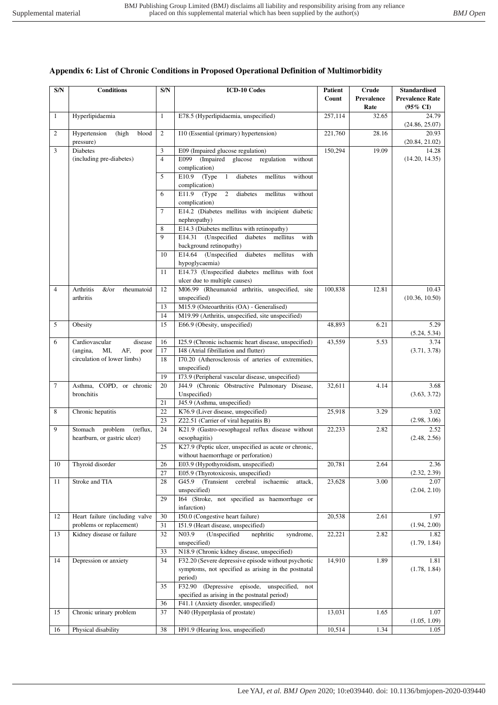| S/N            | <b>Conditions</b>                                             | S/N            | <b>ICD-10 Codes</b>                                                                          | <b>Patient</b><br>Count | Crude<br>Prevalence<br>Rate | <b>Standardised</b><br><b>Prevalence Rate</b><br>$(95\% \text{ CI})$ |
|----------------|---------------------------------------------------------------|----------------|----------------------------------------------------------------------------------------------|-------------------------|-----------------------------|----------------------------------------------------------------------|
| 1              | Hyperlipidaemia                                               | $\mathbf{1}$   | E78.5 (Hyperlipidaemia, unspecified)                                                         | 257.114                 | 32.65                       | 24.79<br>(24.86, 25.07)                                              |
| 2              | Hypertension<br>(high<br>blood<br>pressure)                   | 2              | I10 (Essential (primary) hypertension)                                                       | 221,760                 | 28.16                       | 20.93<br>(20.84, 21.02)                                              |
| 3              | <b>Diabetes</b>                                               | 3              | E09 (Impaired glucose regulation)                                                            | 150,294                 | 19.09                       | 14.28                                                                |
|                | (including pre-diabetes)                                      | $\overline{4}$ | E099<br>(Impaired glucose regulation<br>without                                              |                         |                             | (14.20, 14.35)                                                       |
|                |                                                               |                | complication)                                                                                |                         |                             |                                                                      |
|                |                                                               | 5              | $E10.9$ (Type 1<br>diabetes<br>mellitus<br>without                                           |                         |                             |                                                                      |
|                |                                                               |                | complication)                                                                                |                         |                             |                                                                      |
|                |                                                               | 6              | E11.9<br>(Type)<br>$2^{\circ}$<br>diabetes<br>mellitus<br>without<br>complication)           |                         |                             |                                                                      |
|                |                                                               | 7              | E14.2 (Diabetes mellitus with incipient diabetic                                             |                         |                             |                                                                      |
|                |                                                               |                | nephropathy)                                                                                 |                         |                             |                                                                      |
|                |                                                               | 8              | E14.3 (Diabetes mellitus with retinopathy)                                                   |                         |                             |                                                                      |
|                |                                                               | $\mathbf Q$    | E14.31 (Unspecified<br>diabetes mellitus<br>with                                             |                         |                             |                                                                      |
|                |                                                               |                | background retinopathy)                                                                      |                         |                             |                                                                      |
|                |                                                               | 10             | E14.64<br>(Unspecified diabetes)<br>mellitus<br>with                                         |                         |                             |                                                                      |
|                |                                                               |                | hypoglycaemia)                                                                               |                         |                             |                                                                      |
|                |                                                               | 11             | E14.73 (Unspecified diabetes mellitus with foot<br>ulcer due to multiple causes)             |                         |                             |                                                                      |
| $\overline{4}$ | Arthritis<br>&/or<br>rheumatoid                               | 12             | M06.99 (Rheumatoid arthritis, unspecified, site                                              | 100,838                 | 12.81                       | 10.43                                                                |
|                | arthritis                                                     |                | unspecified)                                                                                 |                         |                             | (10.36, 10.50)                                                       |
|                |                                                               | 13             | M15.9 (Osteoarthritis (OA) - Generalised)                                                    |                         |                             |                                                                      |
|                |                                                               | 14             | M19.99 (Arthritis, unspecified, site unspecified)                                            |                         |                             |                                                                      |
| 5              | Obesity                                                       | 15             | E66.9 (Obesity, unspecified)                                                                 | 48,893                  | 6.21                        | 5.29                                                                 |
|                |                                                               |                |                                                                                              |                         |                             | (5.24, 5.34)                                                         |
| 6              | Cardiovascular<br>disease                                     | 16             | I25.9 (Chronic ischaemic heart disease, unspecified)                                         | 43,559                  | 5.53                        | 3.74                                                                 |
|                | MI,<br>AF,<br>(angina,<br>poor<br>circulation of lower limbs) | 17<br>18       | I48 (Atrial fibrillation and flutter)<br>I70.20 (Atherosclerosis of arteries of extremities, |                         |                             | (3.71, 3.78)                                                         |
|                |                                                               |                | unspecified)                                                                                 |                         |                             |                                                                      |
|                |                                                               | 19             | I73.9 (Peripheral vascular disease, unspecified)                                             |                         |                             |                                                                      |
| 7              | Asthma, COPD, or chronic                                      | 20             | J44.9 (Chronic Obstructive Pulmonary Disease,                                                | 32,611                  | 4.14                        | 3.68                                                                 |
|                | bronchitis                                                    |                | Unspecified)                                                                                 |                         |                             | (3.63, 3.72)                                                         |
|                |                                                               | 21             | J45.9 (Asthma, unspecified)                                                                  |                         |                             |                                                                      |
| 8              | Chronic hepatitis                                             | 22             | K76.9 (Liver disease, unspecified)                                                           | 25,918                  | 3.29                        | 3.02                                                                 |
|                |                                                               | 23             | Z22.51 (Carrier of viral hepatitis B)                                                        |                         |                             | (2.98, 3.06)                                                         |
| 9              | Stomach<br>problem<br>(reflux,                                | 24             | K21.9 (Gastro-oesophageal reflux disease without                                             | 22,233                  | 2.82                        | 2.52                                                                 |
|                | heartburn, or gastric ulcer)                                  | 25             | oesophagitis)<br>K27.9 (Peptic ulcer, unspecified as acute or chronic,                       |                         |                             | (2.48, 2.56)                                                         |
|                |                                                               |                | without haemorrhage or perforation)                                                          |                         |                             |                                                                      |
| $10\,$         | Thyroid disorder                                              | 26             | E03.9 (Hypothyroidism, unspecified)                                                          | 20,781                  | 2.64                        | 2.36                                                                 |
|                |                                                               | 27             | E05.9 (Thyrotoxicosis, unspecified)                                                          |                         |                             | (2.32, 2.39)                                                         |
| 11             | Stroke and TIA                                                | 28             | G45.9 (Transient cerebral ischaemic<br>attack,                                               | 23,628                  | 3.00                        | 2.07                                                                 |
|                |                                                               |                | unspecified)                                                                                 |                         |                             | (2.04, 2.10)                                                         |
|                |                                                               | 29             | 164 (Stroke, not specified as haemorrhage or                                                 |                         |                             |                                                                      |
|                |                                                               |                | infarction)                                                                                  |                         |                             |                                                                      |
| 12             | Heart failure (including valve<br>problems or replacement)    | 30<br>31       | I50.0 (Congestive heart failure)<br>151.9 (Heart disease, unspecified)                       | 20,538                  | 2.61                        | 1.97<br>(1.94, 2.00)                                                 |
| 13             | Kidney disease or failure                                     | 32             | N03.9<br>(Unspecified<br>nephritic<br>syndrome,                                              | 22,221                  | 2.82                        | 1.82                                                                 |
|                |                                                               |                | unspecified)                                                                                 |                         |                             | (1.79, 1.84)                                                         |
|                |                                                               | 33             | N18.9 (Chronic kidney disease, unspecified)                                                  |                         |                             |                                                                      |
| 14             | Depression or anxiety                                         | 34             | F32.20 (Severe depressive episode without psychotic                                          | 14,910                  | 1.89                        | 1.81                                                                 |
|                |                                                               |                | symptoms, not specified as arising in the postnatal                                          |                         |                             | (1.78, 1.84)                                                         |
|                |                                                               |                | period)                                                                                      |                         |                             |                                                                      |
|                |                                                               | 35             | F32.90 (Depressive episode, unspecified,<br>not                                              |                         |                             |                                                                      |
|                |                                                               | 36             | specified as arising in the postnatal period)<br>F41.1 (Anxiety disorder, unspecified)       |                         |                             |                                                                      |
| 15             | Chronic urinary problem                                       | 37             | N40 (Hyperplasia of prostate)                                                                | 13,031                  | 1.65                        | 1.07                                                                 |
|                |                                                               |                |                                                                                              |                         |                             | (1.05, 1.09)                                                         |
| 16             | Physical disability                                           | 38             | H91.9 (Hearing loss, unspecified)                                                            | 10,514                  | 1.34                        | 1.05                                                                 |

## **Appendix 6: List of Chronic Conditions in Proposed Operational Definition of Multimorbidity**